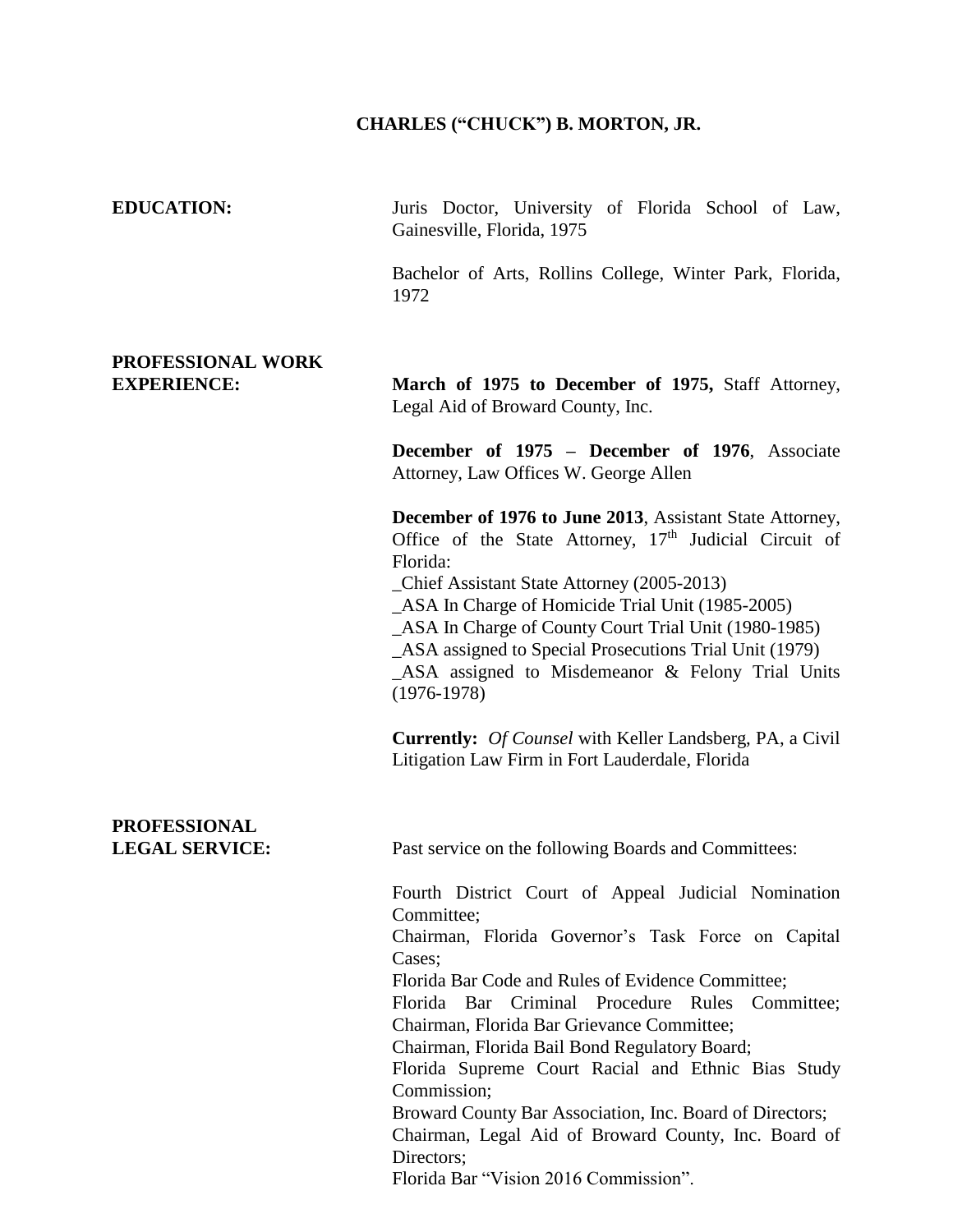## **CHARLES ("CHUCK") B. MORTON, JR.**

| <b>EDUCATION:</b>                            | Juris Doctor, University of Florida School of Law,<br>Gainesville, Florida, 1975                                                                                                                                                                                                                                                                                                                                                                                                                                                                                                            |
|----------------------------------------------|---------------------------------------------------------------------------------------------------------------------------------------------------------------------------------------------------------------------------------------------------------------------------------------------------------------------------------------------------------------------------------------------------------------------------------------------------------------------------------------------------------------------------------------------------------------------------------------------|
|                                              | Bachelor of Arts, Rollins College, Winter Park, Florida,<br>1972                                                                                                                                                                                                                                                                                                                                                                                                                                                                                                                            |
| PROFESSIONAL WORK                            |                                                                                                                                                                                                                                                                                                                                                                                                                                                                                                                                                                                             |
| <b>EXPERIENCE:</b>                           | March of 1975 to December of 1975, Staff Attorney,<br>Legal Aid of Broward County, Inc.                                                                                                                                                                                                                                                                                                                                                                                                                                                                                                     |
|                                              | December of 1975 - December of 1976, Associate<br>Attorney, Law Offices W. George Allen                                                                                                                                                                                                                                                                                                                                                                                                                                                                                                     |
|                                              | December of 1976 to June 2013, Assistant State Attorney,<br>Office of the State Attorney, $17th$ Judicial Circuit of<br>Florida:<br>_Chief Assistant State Attorney (2005-2013)<br>_ASA In Charge of Homicide Trial Unit (1985-2005)<br>_ASA In Charge of County Court Trial Unit (1980-1985)<br>_ASA assigned to Special Prosecutions Trial Unit (1979)<br>_ASA assigned to Misdemeanor & Felony Trial Units<br>$(1976-1978)$                                                                                                                                                              |
|                                              | <b>Currently:</b> Of Counsel with Keller Landsberg, PA, a Civil<br>Litigation Law Firm in Fort Lauderdale, Florida                                                                                                                                                                                                                                                                                                                                                                                                                                                                          |
| <b>PROFESSIONAL</b><br><b>LEGAL SERVICE:</b> | Past service on the following Boards and Committees:                                                                                                                                                                                                                                                                                                                                                                                                                                                                                                                                        |
|                                              | Fourth District Court of Appeal Judicial Nomination<br>Committee;<br>Chairman, Florida Governor's Task Force on Capital<br>Cases;<br>Florida Bar Code and Rules of Evidence Committee;<br>Florida Bar Criminal Procedure Rules<br>Committee;<br>Chairman, Florida Bar Grievance Committee;<br>Chairman, Florida Bail Bond Regulatory Board;<br>Florida Supreme Court Racial and Ethnic Bias Study<br>Commission;<br>Broward County Bar Association, Inc. Board of Directors;<br>Chairman, Legal Aid of Broward County, Inc. Board of<br>Directors;<br>Florida Bar "Vision 2016 Commission". |